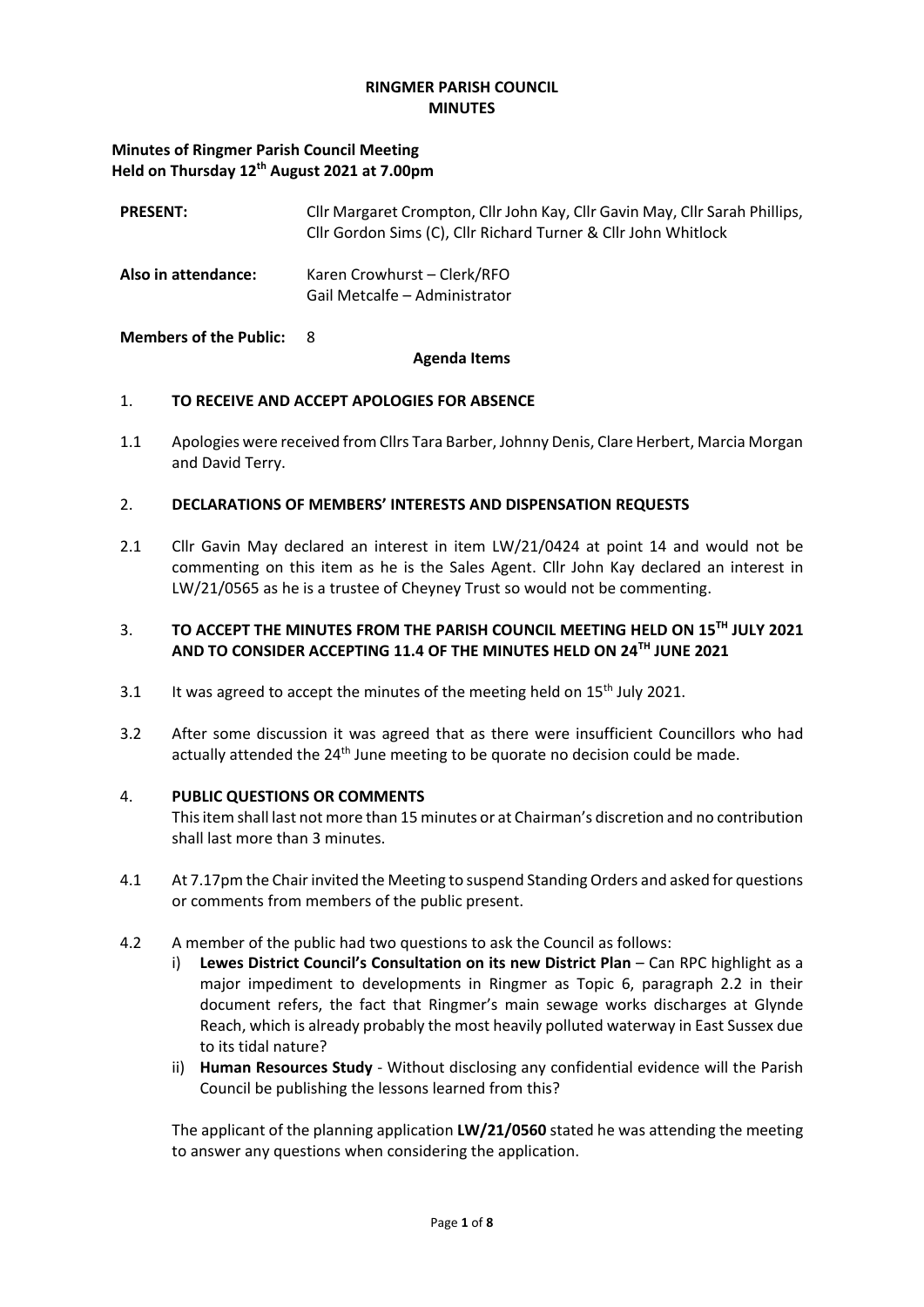## **RINGMER PARISH COUNCIL MINUTES**

## **Minutes of Ringmer Parish Council Meeting Held on Thursday 12th August 2021 at 7.00pm**

| <b>PRESENT:</b>     | Cllr Margaret Crompton, Cllr John Kay, Cllr Gavin May, Cllr Sarah Phillips,<br>Cllr Gordon Sims (C), Cllr Richard Turner & Cllr John Whitlock |
|---------------------|-----------------------------------------------------------------------------------------------------------------------------------------------|
| Also in attendance: | Karen Crowhurst - Clerk/RFO<br>Gail Metcalfe – Administrator                                                                                  |

#### **Members of the Public:** 8

#### **Agenda Items**

## 1. **TO RECEIVE AND ACCEPT APOLOGIES FOR ABSENCE**

1.1 Apologies were received from Cllrs Tara Barber, Johnny Denis, Clare Herbert, Marcia Morgan and David Terry.

## 2. **DECLARATIONS OF MEMBERS' INTERESTS AND DISPENSATION REQUESTS**

2.1 Cllr Gavin May declared an interest in item LW/21/0424 at point 14 and would not be commenting on this item as he is the Sales Agent. Cllr John Kay declared an interest in LW/21/0565 as he is a trustee of Cheyney Trust so would not be commenting.

## 3. **TO ACCEPT THE MINUTES FROM THE PARISH COUNCIL MEETING HELD ON 15TH JULY 2021 AND TO CONSIDER ACCEPTING 11.4 OF THE MINUTES HELD ON 24TH JUNE 2021**

- 3.1 It was agreed to accept the minutes of the meeting held on  $15<sup>th</sup>$  July 2021.
- 3.2 After some discussion it was agreed that as there were insufficient Councillors who had actually attended the 24<sup>th</sup> June meeting to be quorate no decision could be made.

## 4. **PUBLIC QUESTIONS OR COMMENTS**

This item shall last not more than 15 minutes or at Chairman's discretion and no contribution shall last more than 3 minutes.

- 4.1 At 7.17pm the Chair invited the Meeting to suspend Standing Orders and asked for questions or comments from members of the public present.
- 4.2 A member of the public had two questions to ask the Council as follows:
	- i) **Lewes District Council's Consultation on its new District Plan** Can RPC highlight as a major impediment to developments in Ringmer as Topic 6, paragraph 2.2 in their document refers, the fact that Ringmer's main sewage works discharges at Glynde Reach, which is already probably the most heavily polluted waterway in East Sussex due to its tidal nature?
	- ii) **Human Resources Study** Without disclosing any confidential evidence will the Parish Council be publishing the lessons learned from this?

The applicant of the planning application **LW/21/0560** stated he was attending the meeting to answer any questions when considering the application.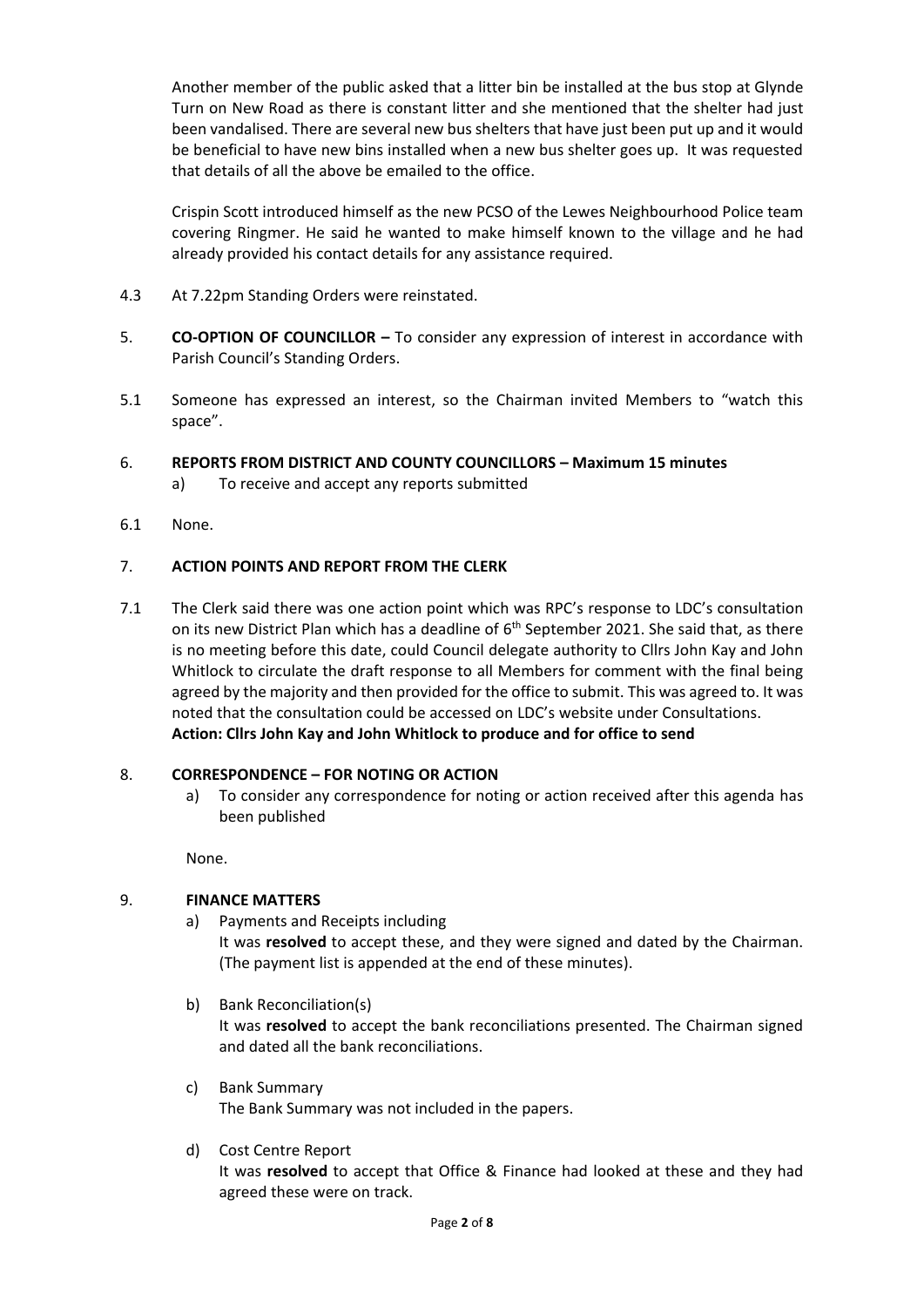Another member of the public asked that a litter bin be installed at the bus stop at Glynde Turn on New Road as there is constant litter and she mentioned that the shelter had just been vandalised. There are several new bus shelters that have just been put up and it would be beneficial to have new bins installed when a new bus shelter goes up. It was requested that details of all the above be emailed to the office.

Crispin Scott introduced himself as the new PCSO of the Lewes Neighbourhood Police team covering Ringmer. He said he wanted to make himself known to the village and he had already provided his contact details for any assistance required.

- 4.3 At 7.22pm Standing Orders were reinstated.
- 5. **CO-OPTION OF COUNCILLOR –** To consider any expression of interest in accordance with Parish Council's Standing Orders.
- 5.1 Someone has expressed an interest, so the Chairman invited Members to "watch this space".
- 6. **REPORTS FROM DISTRICT AND COUNTY COUNCILLORS – Maximum 15 minutes** a) To receive and accept any reports submitted
- 6.1 None.

## 7. **ACTION POINTS AND REPORT FROM THE CLERK**

7.1 The Clerk said there was one action point which was RPC's response to LDC's consultation on its new District Plan which has a deadline of 6<sup>th</sup> September 2021. She said that, as there is no meeting before this date, could Council delegate authority to Cllrs John Kay and John Whitlock to circulate the draft response to all Members for comment with the final being agreed by the majority and then provided for the office to submit. This was agreed to. It was noted that the consultation could be accessed on LDC's website under Consultations. **Action: Cllrs John Kay and John Whitlock to produce and for office to send**

## 8. **CORRESPONDENCE – FOR NOTING OR ACTION**

a) To consider any correspondence for noting or action received after this agenda has been published

None.

## 9. **FINANCE MATTERS**

a) Payments and Receipts including

It was **resolved** to accept these, and they were signed and dated by the Chairman. (The payment list is appended at the end of these minutes).

b) Bank Reconciliation(s)

It was **resolved** to accept the bank reconciliations presented. The Chairman signed and dated all the bank reconciliations.

- c) Bank Summary The Bank Summary was not included in the papers.
- d) Cost Centre Report

It was **resolved** to accept that Office & Finance had looked at these and they had agreed these were on track.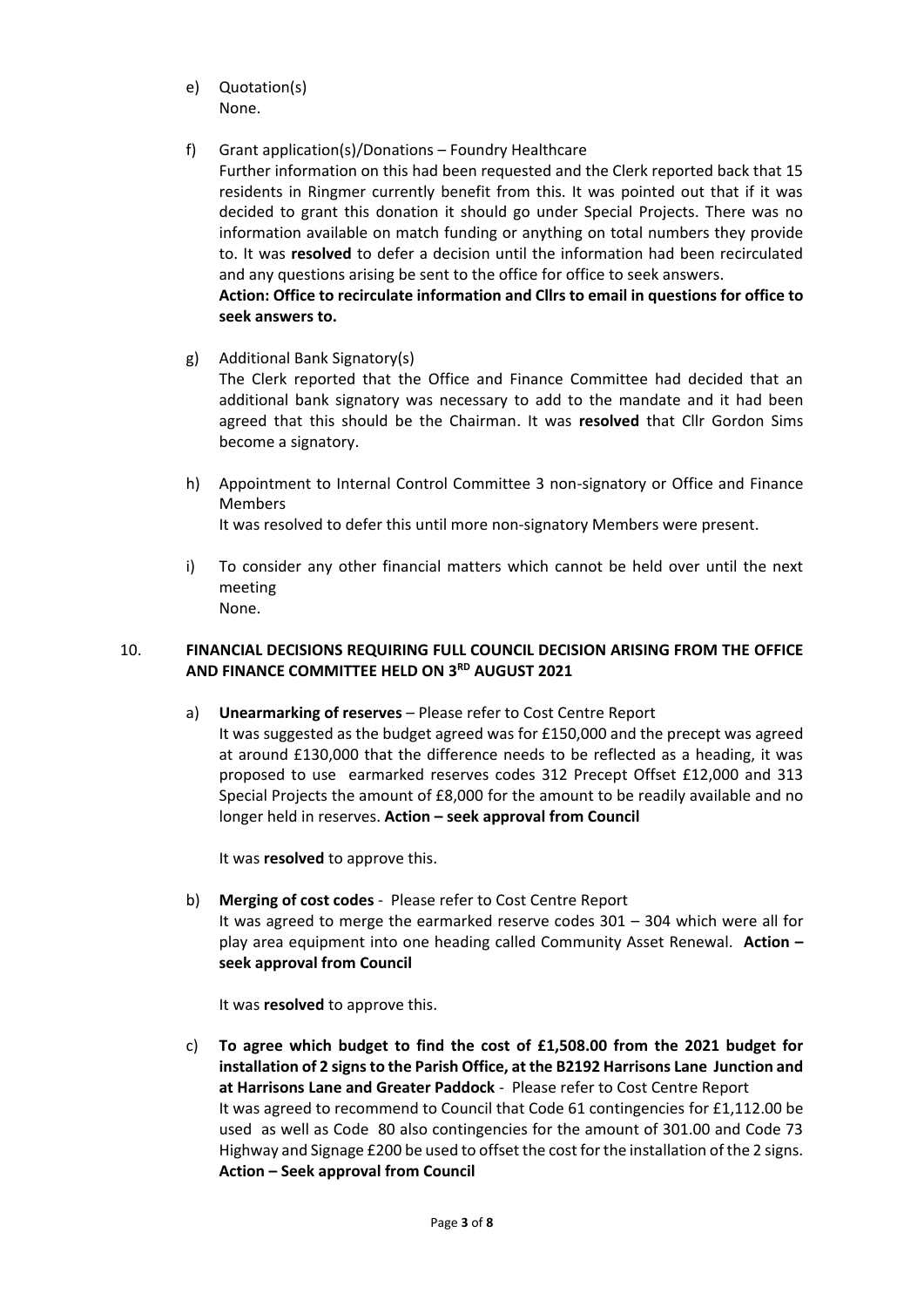- e) Quotation(s) None.
- f) Grant application(s)/Donations Foundry Healthcare

Further information on this had been requested and the Clerk reported back that 15 residents in Ringmer currently benefit from this. It was pointed out that if it was decided to grant this donation it should go under Special Projects. There was no information available on match funding or anything on total numbers they provide to. It was **resolved** to defer a decision until the information had been recirculated and any questions arising be sent to the office for office to seek answers.

## **Action: Office to recirculate information and Cllrs to email in questions for office to seek answers to.**

g) Additional Bank Signatory(s)

The Clerk reported that the Office and Finance Committee had decided that an additional bank signatory was necessary to add to the mandate and it had been agreed that this should be the Chairman. It was **resolved** that Cllr Gordon Sims become a signatory.

h) Appointment to Internal Control Committee 3 non-signatory or Office and Finance Members

It was resolved to defer this until more non-signatory Members were present.

i) To consider any other financial matters which cannot be held over until the next meeting None.

## 10. **FINANCIAL DECISIONS REQUIRING FULL COUNCIL DECISION ARISING FROM THE OFFICE AND FINANCE COMMITTEE HELD ON 3RD AUGUST 2021**

a) **Unearmarking of reserves** – Please refer to Cost Centre Report It was suggested as the budget agreed was for £150,000 and the precept was agreed at around £130,000 that the difference needs to be reflected as a heading, it was proposed to use earmarked reserves codes 312 Precept Offset £12,000 and 313 Special Projects the amount of £8,000 for the amount to be readily available and no longer held in reserves. **Action – seek approval from Council**

It was **resolved** to approve this.

b) **Merging of cost codes** - Please refer to Cost Centre Report It was agreed to merge the earmarked reserve codes 301 – 304 which were all for play area equipment into one heading called Community Asset Renewal. **Action – seek approval from Council**

It was **resolved** to approve this.

c) **To agree which budget to find the cost of £1,508.00 from the 2021 budget for installation of 2 signs to the Parish Office, at the B2192 Harrisons Lane Junction and at Harrisons Lane and Greater Paddock** - Please refer to Cost Centre Report It was agreed to recommend to Council that Code 61 contingencies for £1,112.00 be used as well as Code 80 also contingencies for the amount of 301.00 and Code 73 Highway and Signage £200 be used to offset the cost for the installation of the 2 signs. **Action – Seek approval from Council**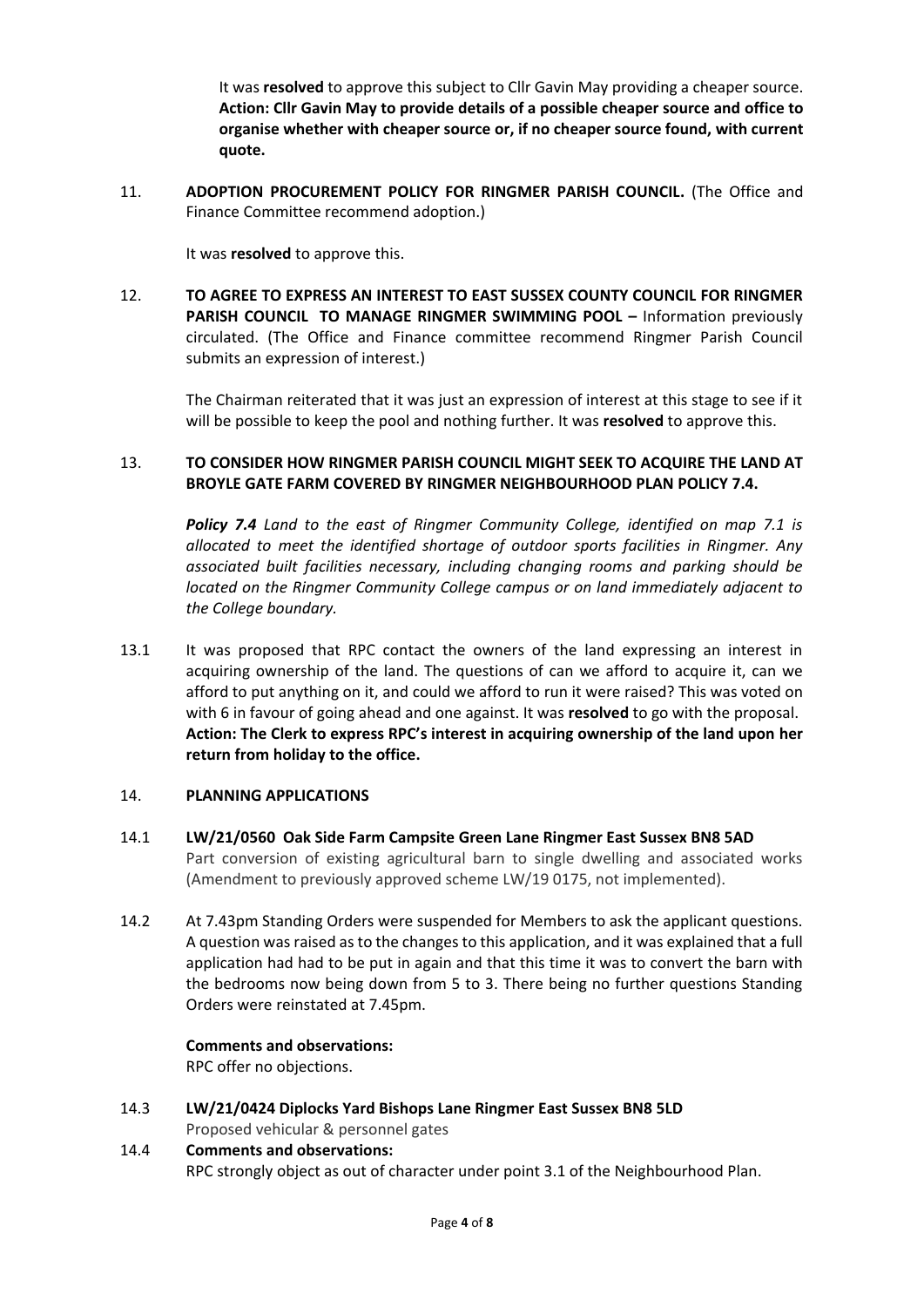It was **resolved** to approve this subject to Cllr Gavin May providing a cheaper source. **Action: Cllr Gavin May to provide details of a possible cheaper source and office to organise whether with cheaper source or, if no cheaper source found, with current quote.**

11. **ADOPTION PROCUREMENT POLICY FOR RINGMER PARISH COUNCIL.** (The Office and Finance Committee recommend adoption.)

It was **resolved** to approve this.

12. **TO AGREE TO EXPRESS AN INTEREST TO EAST SUSSEX COUNTY COUNCIL FOR RINGMER PARISH COUNCIL TO MANAGE RINGMER SWIMMING POOL –** Information previously circulated. (The Office and Finance committee recommend Ringmer Parish Council submits an expression of interest.)

The Chairman reiterated that it was just an expression of interest at this stage to see if it will be possible to keep the pool and nothing further. It was **resolved** to approve this.

## 13. **TO CONSIDER HOW RINGMER PARISH COUNCIL MIGHT SEEK TO ACQUIRE THE LAND AT BROYLE GATE FARM COVERED BY RINGMER NEIGHBOURHOOD PLAN POLICY 7.4.**

*Policy 7.4 Land to the east of Ringmer Community College, identified on map 7.1 is allocated to meet the identified shortage of outdoor sports facilities in Ringmer. Any associated built facilities necessary, including changing rooms and parking should be located on the Ringmer Community College campus or on land immediately adjacent to the College boundary.*

13.1 It was proposed that RPC contact the owners of the land expressing an interest in acquiring ownership of the land. The questions of can we afford to acquire it, can we afford to put anything on it, and could we afford to run it were raised? This was voted on with 6 in favour of going ahead and one against. It was **resolved** to go with the proposal. **Action: The Clerk to express RPC's interest in acquiring ownership of the land upon her return from holiday to the office.**

## 14. **PLANNING APPLICATIONS**

- 14.1 **LW/21/0560 Oak Side Farm Campsite Green Lane Ringmer East Sussex BN8 5AD** Part conversion of existing agricultural barn to single dwelling and associated works (Amendment to previously approved scheme LW/19 0175, not implemented).
- 14.2 At 7.43pm Standing Orders were suspended for Members to ask the applicant questions. A question was raised as to the changes to this application, and it was explained that a full application had had to be put in again and that this time it was to convert the barn with the bedrooms now being down from 5 to 3. There being no further questions Standing Orders were reinstated at 7.45pm.

## **Comments and observations:**

RPC offer no objections.

14.3 **LW/21/0424 Diplocks Yard Bishops Lane Ringmer East Sussex BN8 5LD** Proposed vehicular & personnel gates

# 14.4 **Comments and observations:** RPC strongly object as out of character under point 3.1 of the Neighbourhood Plan.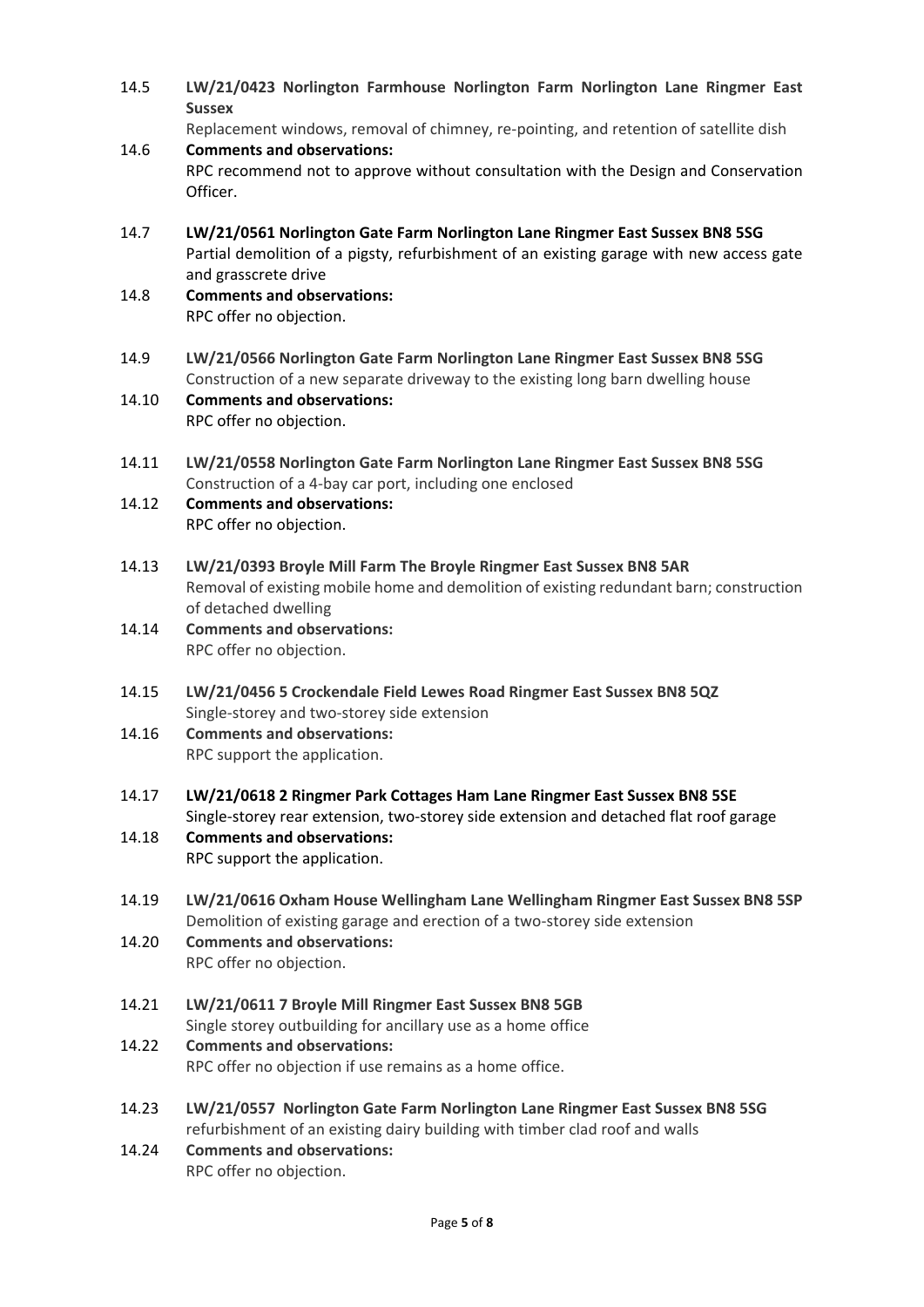- 14.5 **LW/21/0423 Norlington Farmhouse Norlington Farm Norlington Lane Ringmer East Sussex** Replacement windows, removal of chimney, re-pointing, and retention of satellite dish 14.6 **Comments and observations:** RPC recommend not to approve without consultation with the Design and Conservation Officer. 14.7 **LW/21/0561 Norlington Gate Farm Norlington Lane Ringmer East Sussex BN8 5SG** Partial demolition of a pigsty, refurbishment of an existing garage with new access gate and grasscrete drive 14.8 **Comments and observations:** RPC offer no objection. 14.9 **LW/21/0566 Norlington Gate Farm Norlington Lane Ringmer East Sussex BN8 5SG**  Construction of a new separate driveway to the existing long barn dwelling house 14.10 **Comments and observations:** RPC offer no objection. 14.11 **LW/21/0558 Norlington Gate Farm Norlington Lane Ringmer East Sussex BN8 5SG** Construction of a 4-bay car port, including one enclosed 14.12 **Comments and observations:** RPC offer no objection. 14.13 **LW/21/0393 Broyle Mill Farm The Broyle Ringmer East Sussex BN8 5AR** Removal of existing mobile home and demolition of existing redundant barn; construction of detached dwelling 14.14 **Comments and observations:** RPC offer no objection. 14.15 **LW/21/0456 5 Crockendale Field Lewes Road Ringmer East Sussex BN8 5QZ** Single-storey and two-storey side extension 14.16 **Comments and observations:** RPC support the application. 14.17 **LW/21/0618 2 Ringmer Park Cottages Ham Lane Ringmer East Sussex BN8 5SE** Single-storey rear extension, two-storey side extension and detached flat roof garage 14.18 **Comments and observations:** RPC support the application. 14.19 **LW/21/0616 Oxham House Wellingham Lane Wellingham Ringmer East Sussex BN8 5SP** Demolition of existing garage and erection of a two-storey side extension 14.20 **Comments and observations:** RPC offer no objection. 14.21 **LW/21/0611 7 Broyle Mill Ringmer East Sussex BN8 5GB** Single storey outbuilding for ancillary use as a home office 14.22 **Comments and observations:** RPC offer no objection if use remains as a home office. 14.23 **LW/21/0557 Norlington Gate Farm Norlington Lane Ringmer East Sussex BN8 5SG** refurbishment of an existing dairy building with timber clad roof and walls 14.24 **Comments and observations:**
	- RPC offer no objection.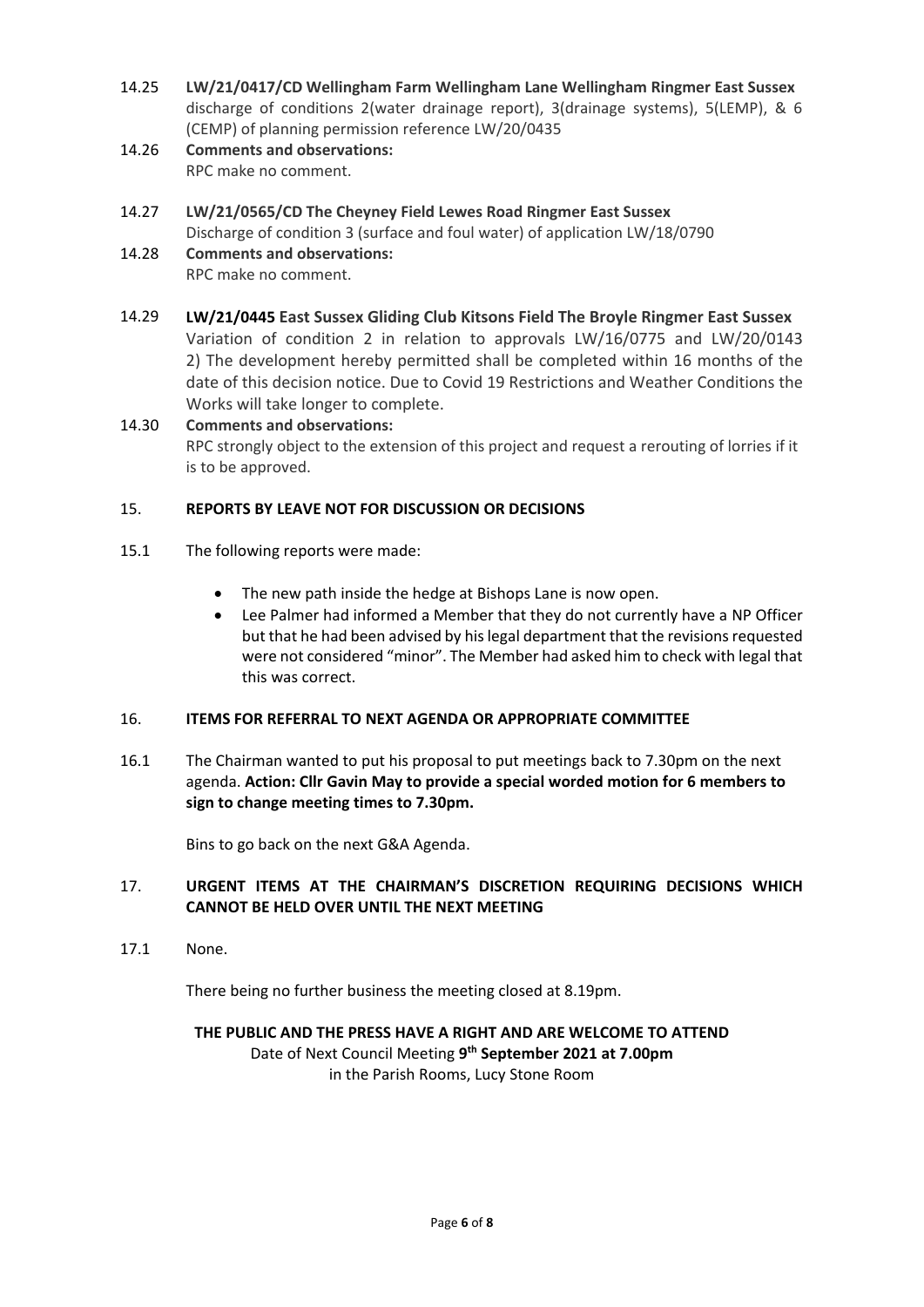- 14.25 **LW/21/0417/CD Wellingham Farm Wellingham Lane Wellingham Ringmer East Sussex**  discharge of conditions 2(water drainage report), 3(drainage systems), 5(LEMP), & 6 (CEMP) of planning permission reference LW/20/0435
- 14.26 **Comments and observations:** RPC make no comment.
- 14.27 **LW/21/0565/CD The Cheyney Field Lewes Road Ringmer East Sussex** Discharge of condition 3 (surface and foul water) of application LW/18/0790
- 14.28 **Comments and observations:** RPC make no comment.
- 14.29 **LW/21/0445 East Sussex Gliding Club Kitsons Field The Broyle Ringmer East Sussex** Variation of condition 2 in relation to approvals LW/16/0775 and LW/20/0143 2) The development hereby permitted shall be completed within 16 months of the date of this decision notice. Due to Covid 19 Restrictions and Weather Conditions the Works will take longer to complete.
- 14.30 **Comments and observations:** RPC strongly object to the extension of this project and request a rerouting of lorries if it is to be approved.

## 15. **REPORTS BY LEAVE NOT FOR DISCUSSION OR DECISIONS**

- 15.1 The following reports were made:
	- The new path inside the hedge at Bishops Lane is now open.
	- Lee Palmer had informed a Member that they do not currently have a NP Officer but that he had been advised by his legal department that the revisions requested were not considered "minor". The Member had asked him to check with legal that this was correct.

## 16. **ITEMS FOR REFERRAL TO NEXT AGENDA OR APPROPRIATE COMMITTEE**

16.1 The Chairman wanted to put his proposal to put meetings back to 7.30pm on the next agenda. **Action: Cllr Gavin May to provide a special worded motion for 6 members to sign to change meeting times to 7.30pm.**

Bins to go back on the next G&A Agenda.

## 17. **URGENT ITEMS AT THE CHAIRMAN'S DISCRETION REQUIRING DECISIONS WHICH CANNOT BE HELD OVER UNTIL THE NEXT MEETING**

17.1 None.

There being no further business the meeting closed at 8.19pm.

## **THE PUBLIC AND THE PRESS HAVE A RIGHT AND ARE WELCOME TO ATTEND** Date of Next Council Meeting **9 th September 2021 at 7.00pm**

in the Parish Rooms, Lucy Stone Room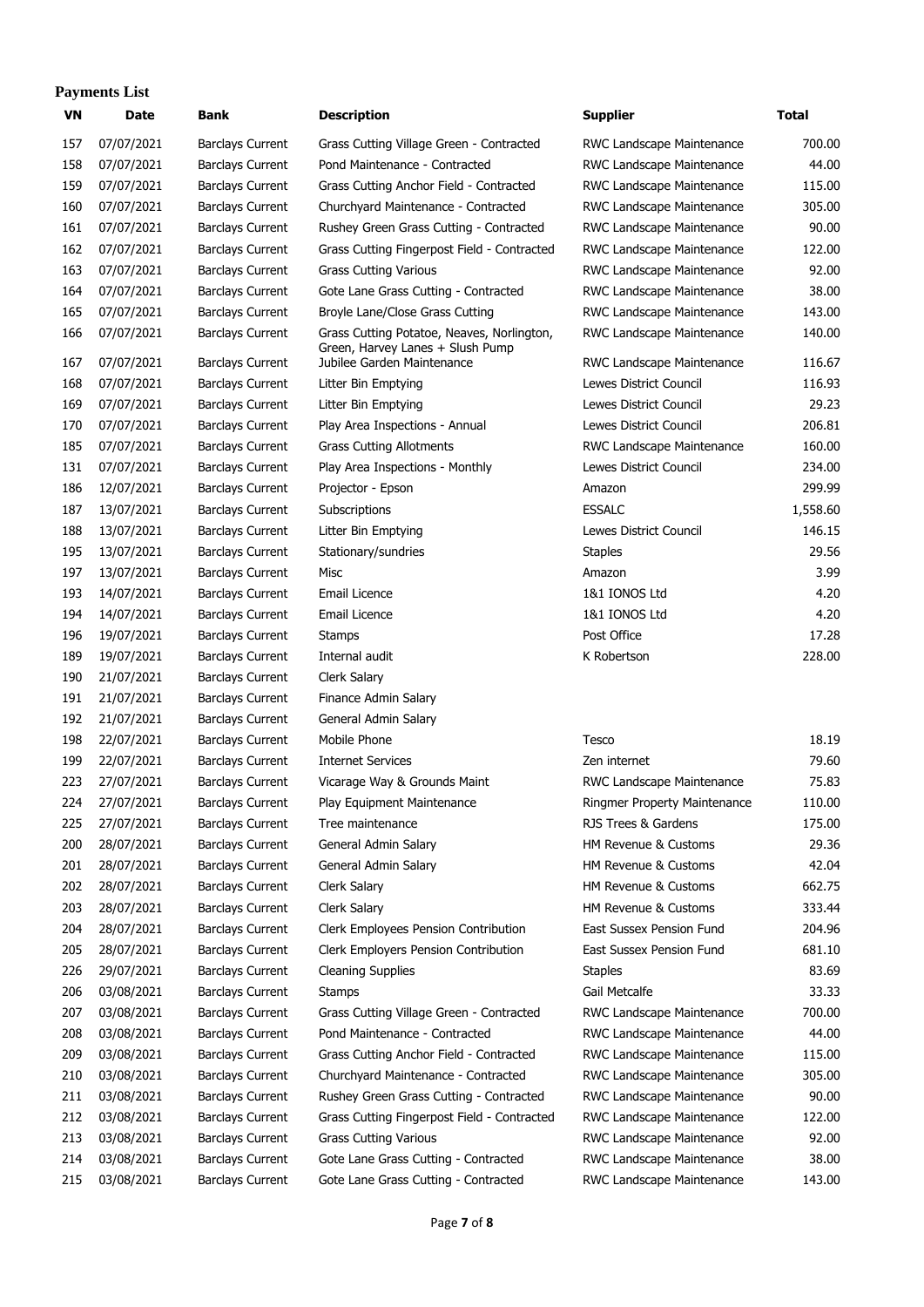#### **Payments List**

| 07/07/2021<br>700.00<br>157<br><b>Barclays Current</b><br>Grass Cutting Village Green - Contracted<br>RWC Landscape Maintenance<br>158<br>44.00<br>07/07/2021<br><b>Barclays Current</b><br>Pond Maintenance - Contracted<br>RWC Landscape Maintenance<br>159<br>07/07/2021<br><b>Barclays Current</b><br>Grass Cutting Anchor Field - Contracted<br>RWC Landscape Maintenance<br>115.00<br>07/07/2021<br>305.00<br>160<br><b>Barclays Current</b><br>Churchyard Maintenance - Contracted<br>RWC Landscape Maintenance<br>07/07/2021<br>90.00<br>161<br><b>Barclays Current</b><br>Rushey Green Grass Cutting - Contracted<br>RWC Landscape Maintenance<br>162<br>122.00<br>07/07/2021<br><b>Barclays Current</b><br>Grass Cutting Fingerpost Field - Contracted<br>RWC Landscape Maintenance<br>163<br>07/07/2021<br><b>Barclays Current</b><br><b>Grass Cutting Various</b><br>92.00<br>RWC Landscape Maintenance<br>164<br>07/07/2021<br>38.OC<br><b>Barclays Current</b><br>Gote Lane Grass Cutting - Contracted<br>RWC Landscape Maintenance<br>165<br>07/07/2021<br><b>Barclays Current</b><br>Broyle Lane/Close Grass Cutting<br>143.00<br>RWC Landscape Maintenance<br>166<br>07/07/2021<br><b>Barclays Current</b><br>Grass Cutting Potatoe, Neaves, Norlington,<br>RWC Landscape Maintenance<br>140.00<br>Green, Harvey Lanes + Slush Pump<br>167<br>07/07/2021<br>Jubilee Garden Maintenance<br>116.67<br><b>Barclays Current</b><br>RWC Landscape Maintenance<br>168<br>07/07/2021<br>Lewes District Council<br>116.93<br><b>Barclays Current</b><br>Litter Bin Emptying<br>07/07/2021<br>169<br><b>Barclays Current</b><br>Lewes District Council<br>29.23<br>Litter Bin Emptying<br>170<br>07/07/2021<br>206.81<br><b>Barclays Current</b><br>Play Area Inspections - Annual<br>Lewes District Council<br>185<br>07/07/2021<br><b>Barclays Current</b><br><b>Grass Cutting Allotments</b><br>RWC Landscape Maintenance<br>160.00<br>07/07/2021<br>Lewes District Council<br>234.00<br>131<br><b>Barclays Current</b><br>Play Area Inspections - Monthly<br>12/07/2021<br>299.99<br>186<br><b>Barclays Current</b><br>Projector - Epson<br>Amazon<br>187<br><b>ESSALC</b><br>1,558.60<br>13/07/2021<br><b>Barclays Current</b><br>Subscriptions<br>188<br>13/07/2021<br><b>Barclays Current</b><br>Lewes District Council<br>146.15<br>Litter Bin Emptying<br>195<br>29.56<br>13/07/2021<br><b>Barclays Current</b><br>Stationary/sundries<br><b>Staples</b><br>3.99<br>197<br>13/07/2021<br><b>Barclays Current</b><br>Misc<br>Amazon<br>193<br>Email Licence<br>1&1 IONOS Ltd<br>4.20<br>14/07/2021<br><b>Barclays Current</b><br>194<br>14/07/2021<br><b>Barclays Current</b><br>Email Licence<br>1&1 IONOS Ltd<br>4.20<br>Post Office<br>17.28<br>196<br>19/07/2021<br><b>Barclays Current</b><br>Stamps<br>19/07/2021<br>228.00<br>189<br><b>Barclays Current</b><br>Internal audit<br>K Robertson<br>190<br>21/07/2021<br><b>Barclays Current</b><br>Clerk Salary<br>191<br>21/07/2021<br><b>Barclays Current</b><br>Finance Admin Salary<br>192<br>21/07/2021<br>General Admin Salary<br><b>Barclays Current</b><br>Mobile Phone<br>18.19<br>198<br>22/07/2021<br><b>Barclays Current</b><br>Tesco<br>199<br>79.60<br>22/07/2021<br><b>Barclays Current</b><br><b>Internet Services</b><br>Zen internet<br>27/07/2021<br>75.83<br>223<br><b>Barclays Current</b><br>Vicarage Way & Grounds Maint<br>RWC Landscape Maintenance<br>27/07/2021<br>110.00<br>224<br><b>Barclays Current</b><br>Play Equipment Maintenance<br>Ringmer Property Maintenance<br>27/07/2021<br>RJS Trees & Gardens<br>175.00<br>225<br><b>Barclays Current</b><br>Tree maintenance<br>29.36<br>200<br>28/07/2021<br><b>Barclays Current</b><br>General Admin Salary<br>HM Revenue & Customs<br>201<br>28/07/2021<br><b>Barclays Current</b><br>General Admin Salary<br>HM Revenue & Customs<br>42.04<br>662.75<br>202<br>28/07/2021<br><b>Barclays Current</b><br>Clerk Salary<br>HM Revenue & Customs<br>203<br>28/07/2021<br><b>Barclays Current</b><br>Clerk Salary<br>HM Revenue & Customs<br>333.44<br>204.96<br>204<br>28/07/2021<br><b>Barclays Current</b><br>Clerk Employees Pension Contribution<br>East Sussex Pension Fund<br>205<br>28/07/2021<br><b>Barclays Current</b><br>Clerk Employers Pension Contribution<br>East Sussex Pension Fund<br>681.10<br>83.69<br>226<br>29/07/2021<br><b>Barclays Current</b><br><b>Cleaning Supplies</b><br><b>Staples</b><br>206<br>03/08/2021<br><b>Barclays Current</b><br>Gail Metcalfe<br>33.33<br><b>Stamps</b><br>700.00<br>207<br>03/08/2021<br><b>Barclays Current</b><br>Grass Cutting Village Green - Contracted<br>RWC Landscape Maintenance<br>208<br>03/08/2021<br><b>Barclays Current</b><br>Pond Maintenance - Contracted<br>RWC Landscape Maintenance<br>44.00<br>115.00<br>209<br>03/08/2021<br><b>Barclays Current</b><br>RWC Landscape Maintenance<br>Grass Cutting Anchor Field - Contracted<br>305.00<br>210<br>03/08/2021<br><b>Barclays Current</b><br>Churchyard Maintenance - Contracted<br>RWC Landscape Maintenance<br>90.00<br>211<br>03/08/2021<br><b>Barclays Current</b><br>Rushey Green Grass Cutting - Contracted<br>RWC Landscape Maintenance<br>212<br>03/08/2021<br><b>Barclays Current</b><br>Grass Cutting Fingerpost Field - Contracted<br>RWC Landscape Maintenance<br>122.00<br>213<br>03/08/2021<br><b>Barclays Current</b><br>RWC Landscape Maintenance<br>92.00<br><b>Grass Cutting Various</b><br>214<br>03/08/2021<br><b>Barclays Current</b><br>Gote Lane Grass Cutting - Contracted<br>RWC Landscape Maintenance<br>38.00<br>143.00<br>215<br>03/08/2021<br><b>Barclays Current</b><br>Gote Lane Grass Cutting - Contracted<br>RWC Landscape Maintenance | VN | <b>Date</b> | <b>Bank</b> | <b>Description</b> | <b>Supplier</b> | Total |
|--------------------------------------------------------------------------------------------------------------------------------------------------------------------------------------------------------------------------------------------------------------------------------------------------------------------------------------------------------------------------------------------------------------------------------------------------------------------------------------------------------------------------------------------------------------------------------------------------------------------------------------------------------------------------------------------------------------------------------------------------------------------------------------------------------------------------------------------------------------------------------------------------------------------------------------------------------------------------------------------------------------------------------------------------------------------------------------------------------------------------------------------------------------------------------------------------------------------------------------------------------------------------------------------------------------------------------------------------------------------------------------------------------------------------------------------------------------------------------------------------------------------------------------------------------------------------------------------------------------------------------------------------------------------------------------------------------------------------------------------------------------------------------------------------------------------------------------------------------------------------------------------------------------------------------------------------------------------------------------------------------------------------------------------------------------------------------------------------------------------------------------------------------------------------------------------------------------------------------------------------------------------------------------------------------------------------------------------------------------------------------------------------------------------------------------------------------------------------------------------------------------------------------------------------------------------------------------------------------------------------------------------------------------------------------------------------------------------------------------------------------------------------------------------------------------------------------------------------------------------------------------------------------------------------------------------------------------------------------------------------------------------------------------------------------------------------------------------------------------------------------------------------------------------------------------------------------------------------------------------------------------------------------------------------------------------------------------------------------------------------------------------------------------------------------------------------------------------------------------------------------------------------------------------------------------------------------------------------------------------------------------------------------------------------------------------------------------------------------------------------------------------------------------------------------------------------------------------------------------------------------------------------------------------------------------------------------------------------------------------------------------------------------------------------------------------------------------------------------------------------------------------------------------------------------------------------------------------------------------------------------------------------------------------------------------------------------------------------------------------------------------------------------------------------------------------------------------------------------------------------------------------------------------------------------------------------------------------------------------------------------------------------------------------------------------------------------------------------------------------------------------------------------------------------------------------------------------------------------------------------------------------------------------------------------------------------------------------------------------------------------------------------------------------------------------------------------------------------------------------------------------------------------------------------------------------------------------------------------------------------------------------------------------------------------------------------------------------------------------------------------------------------------------------------------------------------------------------------------------------------------------------------------------------------------------------------------------------------------------------------------------------------------------------------------------------------------------------------------------------------------|----|-------------|-------------|--------------------|-----------------|-------|
|                                                                                                                                                                                                                                                                                                                                                                                                                                                                                                                                                                                                                                                                                                                                                                                                                                                                                                                                                                                                                                                                                                                                                                                                                                                                                                                                                                                                                                                                                                                                                                                                                                                                                                                                                                                                                                                                                                                                                                                                                                                                                                                                                                                                                                                                                                                                                                                                                                                                                                                                                                                                                                                                                                                                                                                                                                                                                                                                                                                                                                                                                                                                                                                                                                                                                                                                                                                                                                                                                                                                                                                                                                                                                                                                                                                                                                                                                                                                                                                                                                                                                                                                                                                                                                                                                                                                                                                                                                                                                                                                                                                                                                                                                                                                                                                                                                                                                                                                                                                                                                                                                                                                                                                                                                                                                                                                                                                                                                                                                                                                                                                                                                                                                                                                                        |    |             |             |                    |                 |       |
|                                                                                                                                                                                                                                                                                                                                                                                                                                                                                                                                                                                                                                                                                                                                                                                                                                                                                                                                                                                                                                                                                                                                                                                                                                                                                                                                                                                                                                                                                                                                                                                                                                                                                                                                                                                                                                                                                                                                                                                                                                                                                                                                                                                                                                                                                                                                                                                                                                                                                                                                                                                                                                                                                                                                                                                                                                                                                                                                                                                                                                                                                                                                                                                                                                                                                                                                                                                                                                                                                                                                                                                                                                                                                                                                                                                                                                                                                                                                                                                                                                                                                                                                                                                                                                                                                                                                                                                                                                                                                                                                                                                                                                                                                                                                                                                                                                                                                                                                                                                                                                                                                                                                                                                                                                                                                                                                                                                                                                                                                                                                                                                                                                                                                                                                                        |    |             |             |                    |                 |       |
|                                                                                                                                                                                                                                                                                                                                                                                                                                                                                                                                                                                                                                                                                                                                                                                                                                                                                                                                                                                                                                                                                                                                                                                                                                                                                                                                                                                                                                                                                                                                                                                                                                                                                                                                                                                                                                                                                                                                                                                                                                                                                                                                                                                                                                                                                                                                                                                                                                                                                                                                                                                                                                                                                                                                                                                                                                                                                                                                                                                                                                                                                                                                                                                                                                                                                                                                                                                                                                                                                                                                                                                                                                                                                                                                                                                                                                                                                                                                                                                                                                                                                                                                                                                                                                                                                                                                                                                                                                                                                                                                                                                                                                                                                                                                                                                                                                                                                                                                                                                                                                                                                                                                                                                                                                                                                                                                                                                                                                                                                                                                                                                                                                                                                                                                                        |    |             |             |                    |                 |       |
|                                                                                                                                                                                                                                                                                                                                                                                                                                                                                                                                                                                                                                                                                                                                                                                                                                                                                                                                                                                                                                                                                                                                                                                                                                                                                                                                                                                                                                                                                                                                                                                                                                                                                                                                                                                                                                                                                                                                                                                                                                                                                                                                                                                                                                                                                                                                                                                                                                                                                                                                                                                                                                                                                                                                                                                                                                                                                                                                                                                                                                                                                                                                                                                                                                                                                                                                                                                                                                                                                                                                                                                                                                                                                                                                                                                                                                                                                                                                                                                                                                                                                                                                                                                                                                                                                                                                                                                                                                                                                                                                                                                                                                                                                                                                                                                                                                                                                                                                                                                                                                                                                                                                                                                                                                                                                                                                                                                                                                                                                                                                                                                                                                                                                                                                                        |    |             |             |                    |                 |       |
|                                                                                                                                                                                                                                                                                                                                                                                                                                                                                                                                                                                                                                                                                                                                                                                                                                                                                                                                                                                                                                                                                                                                                                                                                                                                                                                                                                                                                                                                                                                                                                                                                                                                                                                                                                                                                                                                                                                                                                                                                                                                                                                                                                                                                                                                                                                                                                                                                                                                                                                                                                                                                                                                                                                                                                                                                                                                                                                                                                                                                                                                                                                                                                                                                                                                                                                                                                                                                                                                                                                                                                                                                                                                                                                                                                                                                                                                                                                                                                                                                                                                                                                                                                                                                                                                                                                                                                                                                                                                                                                                                                                                                                                                                                                                                                                                                                                                                                                                                                                                                                                                                                                                                                                                                                                                                                                                                                                                                                                                                                                                                                                                                                                                                                                                                        |    |             |             |                    |                 |       |
|                                                                                                                                                                                                                                                                                                                                                                                                                                                                                                                                                                                                                                                                                                                                                                                                                                                                                                                                                                                                                                                                                                                                                                                                                                                                                                                                                                                                                                                                                                                                                                                                                                                                                                                                                                                                                                                                                                                                                                                                                                                                                                                                                                                                                                                                                                                                                                                                                                                                                                                                                                                                                                                                                                                                                                                                                                                                                                                                                                                                                                                                                                                                                                                                                                                                                                                                                                                                                                                                                                                                                                                                                                                                                                                                                                                                                                                                                                                                                                                                                                                                                                                                                                                                                                                                                                                                                                                                                                                                                                                                                                                                                                                                                                                                                                                                                                                                                                                                                                                                                                                                                                                                                                                                                                                                                                                                                                                                                                                                                                                                                                                                                                                                                                                                                        |    |             |             |                    |                 |       |
|                                                                                                                                                                                                                                                                                                                                                                                                                                                                                                                                                                                                                                                                                                                                                                                                                                                                                                                                                                                                                                                                                                                                                                                                                                                                                                                                                                                                                                                                                                                                                                                                                                                                                                                                                                                                                                                                                                                                                                                                                                                                                                                                                                                                                                                                                                                                                                                                                                                                                                                                                                                                                                                                                                                                                                                                                                                                                                                                                                                                                                                                                                                                                                                                                                                                                                                                                                                                                                                                                                                                                                                                                                                                                                                                                                                                                                                                                                                                                                                                                                                                                                                                                                                                                                                                                                                                                                                                                                                                                                                                                                                                                                                                                                                                                                                                                                                                                                                                                                                                                                                                                                                                                                                                                                                                                                                                                                                                                                                                                                                                                                                                                                                                                                                                                        |    |             |             |                    |                 |       |
|                                                                                                                                                                                                                                                                                                                                                                                                                                                                                                                                                                                                                                                                                                                                                                                                                                                                                                                                                                                                                                                                                                                                                                                                                                                                                                                                                                                                                                                                                                                                                                                                                                                                                                                                                                                                                                                                                                                                                                                                                                                                                                                                                                                                                                                                                                                                                                                                                                                                                                                                                                                                                                                                                                                                                                                                                                                                                                                                                                                                                                                                                                                                                                                                                                                                                                                                                                                                                                                                                                                                                                                                                                                                                                                                                                                                                                                                                                                                                                                                                                                                                                                                                                                                                                                                                                                                                                                                                                                                                                                                                                                                                                                                                                                                                                                                                                                                                                                                                                                                                                                                                                                                                                                                                                                                                                                                                                                                                                                                                                                                                                                                                                                                                                                                                        |    |             |             |                    |                 |       |
|                                                                                                                                                                                                                                                                                                                                                                                                                                                                                                                                                                                                                                                                                                                                                                                                                                                                                                                                                                                                                                                                                                                                                                                                                                                                                                                                                                                                                                                                                                                                                                                                                                                                                                                                                                                                                                                                                                                                                                                                                                                                                                                                                                                                                                                                                                                                                                                                                                                                                                                                                                                                                                                                                                                                                                                                                                                                                                                                                                                                                                                                                                                                                                                                                                                                                                                                                                                                                                                                                                                                                                                                                                                                                                                                                                                                                                                                                                                                                                                                                                                                                                                                                                                                                                                                                                                                                                                                                                                                                                                                                                                                                                                                                                                                                                                                                                                                                                                                                                                                                                                                                                                                                                                                                                                                                                                                                                                                                                                                                                                                                                                                                                                                                                                                                        |    |             |             |                    |                 |       |
|                                                                                                                                                                                                                                                                                                                                                                                                                                                                                                                                                                                                                                                                                                                                                                                                                                                                                                                                                                                                                                                                                                                                                                                                                                                                                                                                                                                                                                                                                                                                                                                                                                                                                                                                                                                                                                                                                                                                                                                                                                                                                                                                                                                                                                                                                                                                                                                                                                                                                                                                                                                                                                                                                                                                                                                                                                                                                                                                                                                                                                                                                                                                                                                                                                                                                                                                                                                                                                                                                                                                                                                                                                                                                                                                                                                                                                                                                                                                                                                                                                                                                                                                                                                                                                                                                                                                                                                                                                                                                                                                                                                                                                                                                                                                                                                                                                                                                                                                                                                                                                                                                                                                                                                                                                                                                                                                                                                                                                                                                                                                                                                                                                                                                                                                                        |    |             |             |                    |                 |       |
|                                                                                                                                                                                                                                                                                                                                                                                                                                                                                                                                                                                                                                                                                                                                                                                                                                                                                                                                                                                                                                                                                                                                                                                                                                                                                                                                                                                                                                                                                                                                                                                                                                                                                                                                                                                                                                                                                                                                                                                                                                                                                                                                                                                                                                                                                                                                                                                                                                                                                                                                                                                                                                                                                                                                                                                                                                                                                                                                                                                                                                                                                                                                                                                                                                                                                                                                                                                                                                                                                                                                                                                                                                                                                                                                                                                                                                                                                                                                                                                                                                                                                                                                                                                                                                                                                                                                                                                                                                                                                                                                                                                                                                                                                                                                                                                                                                                                                                                                                                                                                                                                                                                                                                                                                                                                                                                                                                                                                                                                                                                                                                                                                                                                                                                                                        |    |             |             |                    |                 |       |
|                                                                                                                                                                                                                                                                                                                                                                                                                                                                                                                                                                                                                                                                                                                                                                                                                                                                                                                                                                                                                                                                                                                                                                                                                                                                                                                                                                                                                                                                                                                                                                                                                                                                                                                                                                                                                                                                                                                                                                                                                                                                                                                                                                                                                                                                                                                                                                                                                                                                                                                                                                                                                                                                                                                                                                                                                                                                                                                                                                                                                                                                                                                                                                                                                                                                                                                                                                                                                                                                                                                                                                                                                                                                                                                                                                                                                                                                                                                                                                                                                                                                                                                                                                                                                                                                                                                                                                                                                                                                                                                                                                                                                                                                                                                                                                                                                                                                                                                                                                                                                                                                                                                                                                                                                                                                                                                                                                                                                                                                                                                                                                                                                                                                                                                                                        |    |             |             |                    |                 |       |
|                                                                                                                                                                                                                                                                                                                                                                                                                                                                                                                                                                                                                                                                                                                                                                                                                                                                                                                                                                                                                                                                                                                                                                                                                                                                                                                                                                                                                                                                                                                                                                                                                                                                                                                                                                                                                                                                                                                                                                                                                                                                                                                                                                                                                                                                                                                                                                                                                                                                                                                                                                                                                                                                                                                                                                                                                                                                                                                                                                                                                                                                                                                                                                                                                                                                                                                                                                                                                                                                                                                                                                                                                                                                                                                                                                                                                                                                                                                                                                                                                                                                                                                                                                                                                                                                                                                                                                                                                                                                                                                                                                                                                                                                                                                                                                                                                                                                                                                                                                                                                                                                                                                                                                                                                                                                                                                                                                                                                                                                                                                                                                                                                                                                                                                                                        |    |             |             |                    |                 |       |
|                                                                                                                                                                                                                                                                                                                                                                                                                                                                                                                                                                                                                                                                                                                                                                                                                                                                                                                                                                                                                                                                                                                                                                                                                                                                                                                                                                                                                                                                                                                                                                                                                                                                                                                                                                                                                                                                                                                                                                                                                                                                                                                                                                                                                                                                                                                                                                                                                                                                                                                                                                                                                                                                                                                                                                                                                                                                                                                                                                                                                                                                                                                                                                                                                                                                                                                                                                                                                                                                                                                                                                                                                                                                                                                                                                                                                                                                                                                                                                                                                                                                                                                                                                                                                                                                                                                                                                                                                                                                                                                                                                                                                                                                                                                                                                                                                                                                                                                                                                                                                                                                                                                                                                                                                                                                                                                                                                                                                                                                                                                                                                                                                                                                                                                                                        |    |             |             |                    |                 |       |
|                                                                                                                                                                                                                                                                                                                                                                                                                                                                                                                                                                                                                                                                                                                                                                                                                                                                                                                                                                                                                                                                                                                                                                                                                                                                                                                                                                                                                                                                                                                                                                                                                                                                                                                                                                                                                                                                                                                                                                                                                                                                                                                                                                                                                                                                                                                                                                                                                                                                                                                                                                                                                                                                                                                                                                                                                                                                                                                                                                                                                                                                                                                                                                                                                                                                                                                                                                                                                                                                                                                                                                                                                                                                                                                                                                                                                                                                                                                                                                                                                                                                                                                                                                                                                                                                                                                                                                                                                                                                                                                                                                                                                                                                                                                                                                                                                                                                                                                                                                                                                                                                                                                                                                                                                                                                                                                                                                                                                                                                                                                                                                                                                                                                                                                                                        |    |             |             |                    |                 |       |
|                                                                                                                                                                                                                                                                                                                                                                                                                                                                                                                                                                                                                                                                                                                                                                                                                                                                                                                                                                                                                                                                                                                                                                                                                                                                                                                                                                                                                                                                                                                                                                                                                                                                                                                                                                                                                                                                                                                                                                                                                                                                                                                                                                                                                                                                                                                                                                                                                                                                                                                                                                                                                                                                                                                                                                                                                                                                                                                                                                                                                                                                                                                                                                                                                                                                                                                                                                                                                                                                                                                                                                                                                                                                                                                                                                                                                                                                                                                                                                                                                                                                                                                                                                                                                                                                                                                                                                                                                                                                                                                                                                                                                                                                                                                                                                                                                                                                                                                                                                                                                                                                                                                                                                                                                                                                                                                                                                                                                                                                                                                                                                                                                                                                                                                                                        |    |             |             |                    |                 |       |
|                                                                                                                                                                                                                                                                                                                                                                                                                                                                                                                                                                                                                                                                                                                                                                                                                                                                                                                                                                                                                                                                                                                                                                                                                                                                                                                                                                                                                                                                                                                                                                                                                                                                                                                                                                                                                                                                                                                                                                                                                                                                                                                                                                                                                                                                                                                                                                                                                                                                                                                                                                                                                                                                                                                                                                                                                                                                                                                                                                                                                                                                                                                                                                                                                                                                                                                                                                                                                                                                                                                                                                                                                                                                                                                                                                                                                                                                                                                                                                                                                                                                                                                                                                                                                                                                                                                                                                                                                                                                                                                                                                                                                                                                                                                                                                                                                                                                                                                                                                                                                                                                                                                                                                                                                                                                                                                                                                                                                                                                                                                                                                                                                                                                                                                                                        |    |             |             |                    |                 |       |
|                                                                                                                                                                                                                                                                                                                                                                                                                                                                                                                                                                                                                                                                                                                                                                                                                                                                                                                                                                                                                                                                                                                                                                                                                                                                                                                                                                                                                                                                                                                                                                                                                                                                                                                                                                                                                                                                                                                                                                                                                                                                                                                                                                                                                                                                                                                                                                                                                                                                                                                                                                                                                                                                                                                                                                                                                                                                                                                                                                                                                                                                                                                                                                                                                                                                                                                                                                                                                                                                                                                                                                                                                                                                                                                                                                                                                                                                                                                                                                                                                                                                                                                                                                                                                                                                                                                                                                                                                                                                                                                                                                                                                                                                                                                                                                                                                                                                                                                                                                                                                                                                                                                                                                                                                                                                                                                                                                                                                                                                                                                                                                                                                                                                                                                                                        |    |             |             |                    |                 |       |
|                                                                                                                                                                                                                                                                                                                                                                                                                                                                                                                                                                                                                                                                                                                                                                                                                                                                                                                                                                                                                                                                                                                                                                                                                                                                                                                                                                                                                                                                                                                                                                                                                                                                                                                                                                                                                                                                                                                                                                                                                                                                                                                                                                                                                                                                                                                                                                                                                                                                                                                                                                                                                                                                                                                                                                                                                                                                                                                                                                                                                                                                                                                                                                                                                                                                                                                                                                                                                                                                                                                                                                                                                                                                                                                                                                                                                                                                                                                                                                                                                                                                                                                                                                                                                                                                                                                                                                                                                                                                                                                                                                                                                                                                                                                                                                                                                                                                                                                                                                                                                                                                                                                                                                                                                                                                                                                                                                                                                                                                                                                                                                                                                                                                                                                                                        |    |             |             |                    |                 |       |
|                                                                                                                                                                                                                                                                                                                                                                                                                                                                                                                                                                                                                                                                                                                                                                                                                                                                                                                                                                                                                                                                                                                                                                                                                                                                                                                                                                                                                                                                                                                                                                                                                                                                                                                                                                                                                                                                                                                                                                                                                                                                                                                                                                                                                                                                                                                                                                                                                                                                                                                                                                                                                                                                                                                                                                                                                                                                                                                                                                                                                                                                                                                                                                                                                                                                                                                                                                                                                                                                                                                                                                                                                                                                                                                                                                                                                                                                                                                                                                                                                                                                                                                                                                                                                                                                                                                                                                                                                                                                                                                                                                                                                                                                                                                                                                                                                                                                                                                                                                                                                                                                                                                                                                                                                                                                                                                                                                                                                                                                                                                                                                                                                                                                                                                                                        |    |             |             |                    |                 |       |
|                                                                                                                                                                                                                                                                                                                                                                                                                                                                                                                                                                                                                                                                                                                                                                                                                                                                                                                                                                                                                                                                                                                                                                                                                                                                                                                                                                                                                                                                                                                                                                                                                                                                                                                                                                                                                                                                                                                                                                                                                                                                                                                                                                                                                                                                                                                                                                                                                                                                                                                                                                                                                                                                                                                                                                                                                                                                                                                                                                                                                                                                                                                                                                                                                                                                                                                                                                                                                                                                                                                                                                                                                                                                                                                                                                                                                                                                                                                                                                                                                                                                                                                                                                                                                                                                                                                                                                                                                                                                                                                                                                                                                                                                                                                                                                                                                                                                                                                                                                                                                                                                                                                                                                                                                                                                                                                                                                                                                                                                                                                                                                                                                                                                                                                                                        |    |             |             |                    |                 |       |
|                                                                                                                                                                                                                                                                                                                                                                                                                                                                                                                                                                                                                                                                                                                                                                                                                                                                                                                                                                                                                                                                                                                                                                                                                                                                                                                                                                                                                                                                                                                                                                                                                                                                                                                                                                                                                                                                                                                                                                                                                                                                                                                                                                                                                                                                                                                                                                                                                                                                                                                                                                                                                                                                                                                                                                                                                                                                                                                                                                                                                                                                                                                                                                                                                                                                                                                                                                                                                                                                                                                                                                                                                                                                                                                                                                                                                                                                                                                                                                                                                                                                                                                                                                                                                                                                                                                                                                                                                                                                                                                                                                                                                                                                                                                                                                                                                                                                                                                                                                                                                                                                                                                                                                                                                                                                                                                                                                                                                                                                                                                                                                                                                                                                                                                                                        |    |             |             |                    |                 |       |
|                                                                                                                                                                                                                                                                                                                                                                                                                                                                                                                                                                                                                                                                                                                                                                                                                                                                                                                                                                                                                                                                                                                                                                                                                                                                                                                                                                                                                                                                                                                                                                                                                                                                                                                                                                                                                                                                                                                                                                                                                                                                                                                                                                                                                                                                                                                                                                                                                                                                                                                                                                                                                                                                                                                                                                                                                                                                                                                                                                                                                                                                                                                                                                                                                                                                                                                                                                                                                                                                                                                                                                                                                                                                                                                                                                                                                                                                                                                                                                                                                                                                                                                                                                                                                                                                                                                                                                                                                                                                                                                                                                                                                                                                                                                                                                                                                                                                                                                                                                                                                                                                                                                                                                                                                                                                                                                                                                                                                                                                                                                                                                                                                                                                                                                                                        |    |             |             |                    |                 |       |
|                                                                                                                                                                                                                                                                                                                                                                                                                                                                                                                                                                                                                                                                                                                                                                                                                                                                                                                                                                                                                                                                                                                                                                                                                                                                                                                                                                                                                                                                                                                                                                                                                                                                                                                                                                                                                                                                                                                                                                                                                                                                                                                                                                                                                                                                                                                                                                                                                                                                                                                                                                                                                                                                                                                                                                                                                                                                                                                                                                                                                                                                                                                                                                                                                                                                                                                                                                                                                                                                                                                                                                                                                                                                                                                                                                                                                                                                                                                                                                                                                                                                                                                                                                                                                                                                                                                                                                                                                                                                                                                                                                                                                                                                                                                                                                                                                                                                                                                                                                                                                                                                                                                                                                                                                                                                                                                                                                                                                                                                                                                                                                                                                                                                                                                                                        |    |             |             |                    |                 |       |
|                                                                                                                                                                                                                                                                                                                                                                                                                                                                                                                                                                                                                                                                                                                                                                                                                                                                                                                                                                                                                                                                                                                                                                                                                                                                                                                                                                                                                                                                                                                                                                                                                                                                                                                                                                                                                                                                                                                                                                                                                                                                                                                                                                                                                                                                                                                                                                                                                                                                                                                                                                                                                                                                                                                                                                                                                                                                                                                                                                                                                                                                                                                                                                                                                                                                                                                                                                                                                                                                                                                                                                                                                                                                                                                                                                                                                                                                                                                                                                                                                                                                                                                                                                                                                                                                                                                                                                                                                                                                                                                                                                                                                                                                                                                                                                                                                                                                                                                                                                                                                                                                                                                                                                                                                                                                                                                                                                                                                                                                                                                                                                                                                                                                                                                                                        |    |             |             |                    |                 |       |
|                                                                                                                                                                                                                                                                                                                                                                                                                                                                                                                                                                                                                                                                                                                                                                                                                                                                                                                                                                                                                                                                                                                                                                                                                                                                                                                                                                                                                                                                                                                                                                                                                                                                                                                                                                                                                                                                                                                                                                                                                                                                                                                                                                                                                                                                                                                                                                                                                                                                                                                                                                                                                                                                                                                                                                                                                                                                                                                                                                                                                                                                                                                                                                                                                                                                                                                                                                                                                                                                                                                                                                                                                                                                                                                                                                                                                                                                                                                                                                                                                                                                                                                                                                                                                                                                                                                                                                                                                                                                                                                                                                                                                                                                                                                                                                                                                                                                                                                                                                                                                                                                                                                                                                                                                                                                                                                                                                                                                                                                                                                                                                                                                                                                                                                                                        |    |             |             |                    |                 |       |
|                                                                                                                                                                                                                                                                                                                                                                                                                                                                                                                                                                                                                                                                                                                                                                                                                                                                                                                                                                                                                                                                                                                                                                                                                                                                                                                                                                                                                                                                                                                                                                                                                                                                                                                                                                                                                                                                                                                                                                                                                                                                                                                                                                                                                                                                                                                                                                                                                                                                                                                                                                                                                                                                                                                                                                                                                                                                                                                                                                                                                                                                                                                                                                                                                                                                                                                                                                                                                                                                                                                                                                                                                                                                                                                                                                                                                                                                                                                                                                                                                                                                                                                                                                                                                                                                                                                                                                                                                                                                                                                                                                                                                                                                                                                                                                                                                                                                                                                                                                                                                                                                                                                                                                                                                                                                                                                                                                                                                                                                                                                                                                                                                                                                                                                                                        |    |             |             |                    |                 |       |
|                                                                                                                                                                                                                                                                                                                                                                                                                                                                                                                                                                                                                                                                                                                                                                                                                                                                                                                                                                                                                                                                                                                                                                                                                                                                                                                                                                                                                                                                                                                                                                                                                                                                                                                                                                                                                                                                                                                                                                                                                                                                                                                                                                                                                                                                                                                                                                                                                                                                                                                                                                                                                                                                                                                                                                                                                                                                                                                                                                                                                                                                                                                                                                                                                                                                                                                                                                                                                                                                                                                                                                                                                                                                                                                                                                                                                                                                                                                                                                                                                                                                                                                                                                                                                                                                                                                                                                                                                                                                                                                                                                                                                                                                                                                                                                                                                                                                                                                                                                                                                                                                                                                                                                                                                                                                                                                                                                                                                                                                                                                                                                                                                                                                                                                                                        |    |             |             |                    |                 |       |
|                                                                                                                                                                                                                                                                                                                                                                                                                                                                                                                                                                                                                                                                                                                                                                                                                                                                                                                                                                                                                                                                                                                                                                                                                                                                                                                                                                                                                                                                                                                                                                                                                                                                                                                                                                                                                                                                                                                                                                                                                                                                                                                                                                                                                                                                                                                                                                                                                                                                                                                                                                                                                                                                                                                                                                                                                                                                                                                                                                                                                                                                                                                                                                                                                                                                                                                                                                                                                                                                                                                                                                                                                                                                                                                                                                                                                                                                                                                                                                                                                                                                                                                                                                                                                                                                                                                                                                                                                                                                                                                                                                                                                                                                                                                                                                                                                                                                                                                                                                                                                                                                                                                                                                                                                                                                                                                                                                                                                                                                                                                                                                                                                                                                                                                                                        |    |             |             |                    |                 |       |
|                                                                                                                                                                                                                                                                                                                                                                                                                                                                                                                                                                                                                                                                                                                                                                                                                                                                                                                                                                                                                                                                                                                                                                                                                                                                                                                                                                                                                                                                                                                                                                                                                                                                                                                                                                                                                                                                                                                                                                                                                                                                                                                                                                                                                                                                                                                                                                                                                                                                                                                                                                                                                                                                                                                                                                                                                                                                                                                                                                                                                                                                                                                                                                                                                                                                                                                                                                                                                                                                                                                                                                                                                                                                                                                                                                                                                                                                                                                                                                                                                                                                                                                                                                                                                                                                                                                                                                                                                                                                                                                                                                                                                                                                                                                                                                                                                                                                                                                                                                                                                                                                                                                                                                                                                                                                                                                                                                                                                                                                                                                                                                                                                                                                                                                                                        |    |             |             |                    |                 |       |
|                                                                                                                                                                                                                                                                                                                                                                                                                                                                                                                                                                                                                                                                                                                                                                                                                                                                                                                                                                                                                                                                                                                                                                                                                                                                                                                                                                                                                                                                                                                                                                                                                                                                                                                                                                                                                                                                                                                                                                                                                                                                                                                                                                                                                                                                                                                                                                                                                                                                                                                                                                                                                                                                                                                                                                                                                                                                                                                                                                                                                                                                                                                                                                                                                                                                                                                                                                                                                                                                                                                                                                                                                                                                                                                                                                                                                                                                                                                                                                                                                                                                                                                                                                                                                                                                                                                                                                                                                                                                                                                                                                                                                                                                                                                                                                                                                                                                                                                                                                                                                                                                                                                                                                                                                                                                                                                                                                                                                                                                                                                                                                                                                                                                                                                                                        |    |             |             |                    |                 |       |
|                                                                                                                                                                                                                                                                                                                                                                                                                                                                                                                                                                                                                                                                                                                                                                                                                                                                                                                                                                                                                                                                                                                                                                                                                                                                                                                                                                                                                                                                                                                                                                                                                                                                                                                                                                                                                                                                                                                                                                                                                                                                                                                                                                                                                                                                                                                                                                                                                                                                                                                                                                                                                                                                                                                                                                                                                                                                                                                                                                                                                                                                                                                                                                                                                                                                                                                                                                                                                                                                                                                                                                                                                                                                                                                                                                                                                                                                                                                                                                                                                                                                                                                                                                                                                                                                                                                                                                                                                                                                                                                                                                                                                                                                                                                                                                                                                                                                                                                                                                                                                                                                                                                                                                                                                                                                                                                                                                                                                                                                                                                                                                                                                                                                                                                                                        |    |             |             |                    |                 |       |
|                                                                                                                                                                                                                                                                                                                                                                                                                                                                                                                                                                                                                                                                                                                                                                                                                                                                                                                                                                                                                                                                                                                                                                                                                                                                                                                                                                                                                                                                                                                                                                                                                                                                                                                                                                                                                                                                                                                                                                                                                                                                                                                                                                                                                                                                                                                                                                                                                                                                                                                                                                                                                                                                                                                                                                                                                                                                                                                                                                                                                                                                                                                                                                                                                                                                                                                                                                                                                                                                                                                                                                                                                                                                                                                                                                                                                                                                                                                                                                                                                                                                                                                                                                                                                                                                                                                                                                                                                                                                                                                                                                                                                                                                                                                                                                                                                                                                                                                                                                                                                                                                                                                                                                                                                                                                                                                                                                                                                                                                                                                                                                                                                                                                                                                                                        |    |             |             |                    |                 |       |
|                                                                                                                                                                                                                                                                                                                                                                                                                                                                                                                                                                                                                                                                                                                                                                                                                                                                                                                                                                                                                                                                                                                                                                                                                                                                                                                                                                                                                                                                                                                                                                                                                                                                                                                                                                                                                                                                                                                                                                                                                                                                                                                                                                                                                                                                                                                                                                                                                                                                                                                                                                                                                                                                                                                                                                                                                                                                                                                                                                                                                                                                                                                                                                                                                                                                                                                                                                                                                                                                                                                                                                                                                                                                                                                                                                                                                                                                                                                                                                                                                                                                                                                                                                                                                                                                                                                                                                                                                                                                                                                                                                                                                                                                                                                                                                                                                                                                                                                                                                                                                                                                                                                                                                                                                                                                                                                                                                                                                                                                                                                                                                                                                                                                                                                                                        |    |             |             |                    |                 |       |
|                                                                                                                                                                                                                                                                                                                                                                                                                                                                                                                                                                                                                                                                                                                                                                                                                                                                                                                                                                                                                                                                                                                                                                                                                                                                                                                                                                                                                                                                                                                                                                                                                                                                                                                                                                                                                                                                                                                                                                                                                                                                                                                                                                                                                                                                                                                                                                                                                                                                                                                                                                                                                                                                                                                                                                                                                                                                                                                                                                                                                                                                                                                                                                                                                                                                                                                                                                                                                                                                                                                                                                                                                                                                                                                                                                                                                                                                                                                                                                                                                                                                                                                                                                                                                                                                                                                                                                                                                                                                                                                                                                                                                                                                                                                                                                                                                                                                                                                                                                                                                                                                                                                                                                                                                                                                                                                                                                                                                                                                                                                                                                                                                                                                                                                                                        |    |             |             |                    |                 |       |
|                                                                                                                                                                                                                                                                                                                                                                                                                                                                                                                                                                                                                                                                                                                                                                                                                                                                                                                                                                                                                                                                                                                                                                                                                                                                                                                                                                                                                                                                                                                                                                                                                                                                                                                                                                                                                                                                                                                                                                                                                                                                                                                                                                                                                                                                                                                                                                                                                                                                                                                                                                                                                                                                                                                                                                                                                                                                                                                                                                                                                                                                                                                                                                                                                                                                                                                                                                                                                                                                                                                                                                                                                                                                                                                                                                                                                                                                                                                                                                                                                                                                                                                                                                                                                                                                                                                                                                                                                                                                                                                                                                                                                                                                                                                                                                                                                                                                                                                                                                                                                                                                                                                                                                                                                                                                                                                                                                                                                                                                                                                                                                                                                                                                                                                                                        |    |             |             |                    |                 |       |
|                                                                                                                                                                                                                                                                                                                                                                                                                                                                                                                                                                                                                                                                                                                                                                                                                                                                                                                                                                                                                                                                                                                                                                                                                                                                                                                                                                                                                                                                                                                                                                                                                                                                                                                                                                                                                                                                                                                                                                                                                                                                                                                                                                                                                                                                                                                                                                                                                                                                                                                                                                                                                                                                                                                                                                                                                                                                                                                                                                                                                                                                                                                                                                                                                                                                                                                                                                                                                                                                                                                                                                                                                                                                                                                                                                                                                                                                                                                                                                                                                                                                                                                                                                                                                                                                                                                                                                                                                                                                                                                                                                                                                                                                                                                                                                                                                                                                                                                                                                                                                                                                                                                                                                                                                                                                                                                                                                                                                                                                                                                                                                                                                                                                                                                                                        |    |             |             |                    |                 |       |
|                                                                                                                                                                                                                                                                                                                                                                                                                                                                                                                                                                                                                                                                                                                                                                                                                                                                                                                                                                                                                                                                                                                                                                                                                                                                                                                                                                                                                                                                                                                                                                                                                                                                                                                                                                                                                                                                                                                                                                                                                                                                                                                                                                                                                                                                                                                                                                                                                                                                                                                                                                                                                                                                                                                                                                                                                                                                                                                                                                                                                                                                                                                                                                                                                                                                                                                                                                                                                                                                                                                                                                                                                                                                                                                                                                                                                                                                                                                                                                                                                                                                                                                                                                                                                                                                                                                                                                                                                                                                                                                                                                                                                                                                                                                                                                                                                                                                                                                                                                                                                                                                                                                                                                                                                                                                                                                                                                                                                                                                                                                                                                                                                                                                                                                                                        |    |             |             |                    |                 |       |
|                                                                                                                                                                                                                                                                                                                                                                                                                                                                                                                                                                                                                                                                                                                                                                                                                                                                                                                                                                                                                                                                                                                                                                                                                                                                                                                                                                                                                                                                                                                                                                                                                                                                                                                                                                                                                                                                                                                                                                                                                                                                                                                                                                                                                                                                                                                                                                                                                                                                                                                                                                                                                                                                                                                                                                                                                                                                                                                                                                                                                                                                                                                                                                                                                                                                                                                                                                                                                                                                                                                                                                                                                                                                                                                                                                                                                                                                                                                                                                                                                                                                                                                                                                                                                                                                                                                                                                                                                                                                                                                                                                                                                                                                                                                                                                                                                                                                                                                                                                                                                                                                                                                                                                                                                                                                                                                                                                                                                                                                                                                                                                                                                                                                                                                                                        |    |             |             |                    |                 |       |
|                                                                                                                                                                                                                                                                                                                                                                                                                                                                                                                                                                                                                                                                                                                                                                                                                                                                                                                                                                                                                                                                                                                                                                                                                                                                                                                                                                                                                                                                                                                                                                                                                                                                                                                                                                                                                                                                                                                                                                                                                                                                                                                                                                                                                                                                                                                                                                                                                                                                                                                                                                                                                                                                                                                                                                                                                                                                                                                                                                                                                                                                                                                                                                                                                                                                                                                                                                                                                                                                                                                                                                                                                                                                                                                                                                                                                                                                                                                                                                                                                                                                                                                                                                                                                                                                                                                                                                                                                                                                                                                                                                                                                                                                                                                                                                                                                                                                                                                                                                                                                                                                                                                                                                                                                                                                                                                                                                                                                                                                                                                                                                                                                                                                                                                                                        |    |             |             |                    |                 |       |
|                                                                                                                                                                                                                                                                                                                                                                                                                                                                                                                                                                                                                                                                                                                                                                                                                                                                                                                                                                                                                                                                                                                                                                                                                                                                                                                                                                                                                                                                                                                                                                                                                                                                                                                                                                                                                                                                                                                                                                                                                                                                                                                                                                                                                                                                                                                                                                                                                                                                                                                                                                                                                                                                                                                                                                                                                                                                                                                                                                                                                                                                                                                                                                                                                                                                                                                                                                                                                                                                                                                                                                                                                                                                                                                                                                                                                                                                                                                                                                                                                                                                                                                                                                                                                                                                                                                                                                                                                                                                                                                                                                                                                                                                                                                                                                                                                                                                                                                                                                                                                                                                                                                                                                                                                                                                                                                                                                                                                                                                                                                                                                                                                                                                                                                                                        |    |             |             |                    |                 |       |
|                                                                                                                                                                                                                                                                                                                                                                                                                                                                                                                                                                                                                                                                                                                                                                                                                                                                                                                                                                                                                                                                                                                                                                                                                                                                                                                                                                                                                                                                                                                                                                                                                                                                                                                                                                                                                                                                                                                                                                                                                                                                                                                                                                                                                                                                                                                                                                                                                                                                                                                                                                                                                                                                                                                                                                                                                                                                                                                                                                                                                                                                                                                                                                                                                                                                                                                                                                                                                                                                                                                                                                                                                                                                                                                                                                                                                                                                                                                                                                                                                                                                                                                                                                                                                                                                                                                                                                                                                                                                                                                                                                                                                                                                                                                                                                                                                                                                                                                                                                                                                                                                                                                                                                                                                                                                                                                                                                                                                                                                                                                                                                                                                                                                                                                                                        |    |             |             |                    |                 |       |
|                                                                                                                                                                                                                                                                                                                                                                                                                                                                                                                                                                                                                                                                                                                                                                                                                                                                                                                                                                                                                                                                                                                                                                                                                                                                                                                                                                                                                                                                                                                                                                                                                                                                                                                                                                                                                                                                                                                                                                                                                                                                                                                                                                                                                                                                                                                                                                                                                                                                                                                                                                                                                                                                                                                                                                                                                                                                                                                                                                                                                                                                                                                                                                                                                                                                                                                                                                                                                                                                                                                                                                                                                                                                                                                                                                                                                                                                                                                                                                                                                                                                                                                                                                                                                                                                                                                                                                                                                                                                                                                                                                                                                                                                                                                                                                                                                                                                                                                                                                                                                                                                                                                                                                                                                                                                                                                                                                                                                                                                                                                                                                                                                                                                                                                                                        |    |             |             |                    |                 |       |
|                                                                                                                                                                                                                                                                                                                                                                                                                                                                                                                                                                                                                                                                                                                                                                                                                                                                                                                                                                                                                                                                                                                                                                                                                                                                                                                                                                                                                                                                                                                                                                                                                                                                                                                                                                                                                                                                                                                                                                                                                                                                                                                                                                                                                                                                                                                                                                                                                                                                                                                                                                                                                                                                                                                                                                                                                                                                                                                                                                                                                                                                                                                                                                                                                                                                                                                                                                                                                                                                                                                                                                                                                                                                                                                                                                                                                                                                                                                                                                                                                                                                                                                                                                                                                                                                                                                                                                                                                                                                                                                                                                                                                                                                                                                                                                                                                                                                                                                                                                                                                                                                                                                                                                                                                                                                                                                                                                                                                                                                                                                                                                                                                                                                                                                                                        |    |             |             |                    |                 |       |
|                                                                                                                                                                                                                                                                                                                                                                                                                                                                                                                                                                                                                                                                                                                                                                                                                                                                                                                                                                                                                                                                                                                                                                                                                                                                                                                                                                                                                                                                                                                                                                                                                                                                                                                                                                                                                                                                                                                                                                                                                                                                                                                                                                                                                                                                                                                                                                                                                                                                                                                                                                                                                                                                                                                                                                                                                                                                                                                                                                                                                                                                                                                                                                                                                                                                                                                                                                                                                                                                                                                                                                                                                                                                                                                                                                                                                                                                                                                                                                                                                                                                                                                                                                                                                                                                                                                                                                                                                                                                                                                                                                                                                                                                                                                                                                                                                                                                                                                                                                                                                                                                                                                                                                                                                                                                                                                                                                                                                                                                                                                                                                                                                                                                                                                                                        |    |             |             |                    |                 |       |
|                                                                                                                                                                                                                                                                                                                                                                                                                                                                                                                                                                                                                                                                                                                                                                                                                                                                                                                                                                                                                                                                                                                                                                                                                                                                                                                                                                                                                                                                                                                                                                                                                                                                                                                                                                                                                                                                                                                                                                                                                                                                                                                                                                                                                                                                                                                                                                                                                                                                                                                                                                                                                                                                                                                                                                                                                                                                                                                                                                                                                                                                                                                                                                                                                                                                                                                                                                                                                                                                                                                                                                                                                                                                                                                                                                                                                                                                                                                                                                                                                                                                                                                                                                                                                                                                                                                                                                                                                                                                                                                                                                                                                                                                                                                                                                                                                                                                                                                                                                                                                                                                                                                                                                                                                                                                                                                                                                                                                                                                                                                                                                                                                                                                                                                                                        |    |             |             |                    |                 |       |
|                                                                                                                                                                                                                                                                                                                                                                                                                                                                                                                                                                                                                                                                                                                                                                                                                                                                                                                                                                                                                                                                                                                                                                                                                                                                                                                                                                                                                                                                                                                                                                                                                                                                                                                                                                                                                                                                                                                                                                                                                                                                                                                                                                                                                                                                                                                                                                                                                                                                                                                                                                                                                                                                                                                                                                                                                                                                                                                                                                                                                                                                                                                                                                                                                                                                                                                                                                                                                                                                                                                                                                                                                                                                                                                                                                                                                                                                                                                                                                                                                                                                                                                                                                                                                                                                                                                                                                                                                                                                                                                                                                                                                                                                                                                                                                                                                                                                                                                                                                                                                                                                                                                                                                                                                                                                                                                                                                                                                                                                                                                                                                                                                                                                                                                                                        |    |             |             |                    |                 |       |
|                                                                                                                                                                                                                                                                                                                                                                                                                                                                                                                                                                                                                                                                                                                                                                                                                                                                                                                                                                                                                                                                                                                                                                                                                                                                                                                                                                                                                                                                                                                                                                                                                                                                                                                                                                                                                                                                                                                                                                                                                                                                                                                                                                                                                                                                                                                                                                                                                                                                                                                                                                                                                                                                                                                                                                                                                                                                                                                                                                                                                                                                                                                                                                                                                                                                                                                                                                                                                                                                                                                                                                                                                                                                                                                                                                                                                                                                                                                                                                                                                                                                                                                                                                                                                                                                                                                                                                                                                                                                                                                                                                                                                                                                                                                                                                                                                                                                                                                                                                                                                                                                                                                                                                                                                                                                                                                                                                                                                                                                                                                                                                                                                                                                                                                                                        |    |             |             |                    |                 |       |
|                                                                                                                                                                                                                                                                                                                                                                                                                                                                                                                                                                                                                                                                                                                                                                                                                                                                                                                                                                                                                                                                                                                                                                                                                                                                                                                                                                                                                                                                                                                                                                                                                                                                                                                                                                                                                                                                                                                                                                                                                                                                                                                                                                                                                                                                                                                                                                                                                                                                                                                                                                                                                                                                                                                                                                                                                                                                                                                                                                                                                                                                                                                                                                                                                                                                                                                                                                                                                                                                                                                                                                                                                                                                                                                                                                                                                                                                                                                                                                                                                                                                                                                                                                                                                                                                                                                                                                                                                                                                                                                                                                                                                                                                                                                                                                                                                                                                                                                                                                                                                                                                                                                                                                                                                                                                                                                                                                                                                                                                                                                                                                                                                                                                                                                                                        |    |             |             |                    |                 |       |
|                                                                                                                                                                                                                                                                                                                                                                                                                                                                                                                                                                                                                                                                                                                                                                                                                                                                                                                                                                                                                                                                                                                                                                                                                                                                                                                                                                                                                                                                                                                                                                                                                                                                                                                                                                                                                                                                                                                                                                                                                                                                                                                                                                                                                                                                                                                                                                                                                                                                                                                                                                                                                                                                                                                                                                                                                                                                                                                                                                                                                                                                                                                                                                                                                                                                                                                                                                                                                                                                                                                                                                                                                                                                                                                                                                                                                                                                                                                                                                                                                                                                                                                                                                                                                                                                                                                                                                                                                                                                                                                                                                                                                                                                                                                                                                                                                                                                                                                                                                                                                                                                                                                                                                                                                                                                                                                                                                                                                                                                                                                                                                                                                                                                                                                                                        |    |             |             |                    |                 |       |